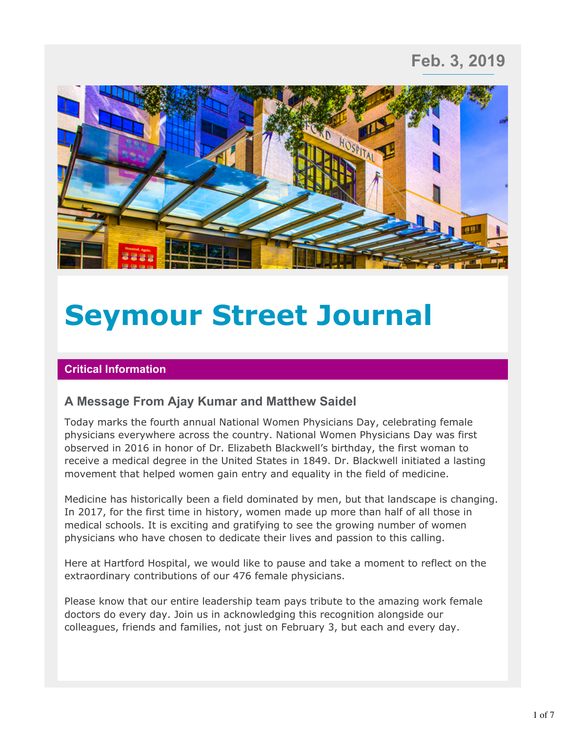# **Feb. 3, 2019**



# **Seymour Street Journal**

#### **Critical Information**

# **A Message From Ajay Kumar and Matthew Saidel**

Today marks the fourth annual National Women Physicians Day, celebrating female physicians everywhere across the country. National Women Physicians Day was first observed in 2016 in honor of Dr. Elizabeth Blackwell's birthday, the first woman to receive a medical degree in the United States in 1849. Dr. Blackwell initiated a lasting movement that helped women gain entry and equality in the field of medicine.

Medicine has historically been a field dominated by men, but that landscape is changing. In 2017, for the first time in history, women made up more than half of all those in medical schools. It is exciting and gratifying to see the growing number of women physicians who have chosen to dedicate their lives and passion to this calling.

Here at Hartford Hospital, we would like to pause and take a moment to reflect on the extraordinary contributions of our 476 female physicians.

Please know that our entire leadership team pays tribute to the amazing work female doctors do every day. Join us in acknowledging this recognition alongside our colleagues, friends and families, not just on February 3, but each and every day.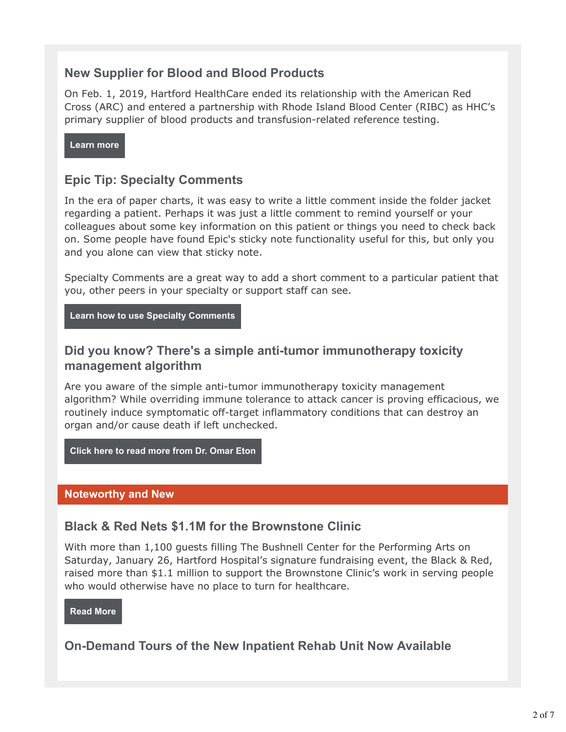# **New Supplier for Blood and Blood Products**

On Feb. 1, 2019, Hartford HealthCare ended its relationship with the American Red Cross (ARC) and entered a partnership with Rhode Island Blood Center (RIBC) as HHC's primary supplier of blood products and transfusion-related reference testing.



# **Epic Tip: Specialty Comments**

In the era of paper charts, it was easy to write a little comment inside the folder jacket regarding a patient. Perhaps it was just a little comment to remind yourself or your colleagues about some key information on this patient or things you need to check back on. Some people have found Epic's sticky note functionality useful for this, but only you and you alone can view that sticky note.

Specialty Comments are a great way to add a short comment to a particular patient that you, other peers in your specialty or support staff can see.

**Learn how to use Specialty Comments**

# **Did you know? There's a simple anti-tumor immunotherapy toxicity management algorithm**

Are you aware of the simple anti-tumor immunotherapy toxicity management algorithm? While overriding immune tolerance to attack cancer is proving efficacious, we routinely induce symptomatic off-target inflammatory conditions that can destroy an organ and/or cause death if left unchecked.

**Click here to read more from Dr. Omar Eton**

#### **Noteworthy and New**

# **Black & Red Nets \$1.1M for the Brownstone Clinic**

With more than 1,100 guests filling The Bushnell Center for the Performing Arts on Saturday, January 26, Hartford Hospital's signature fundraising event, the Black & Red, raised more than \$1.1 million to support the Brownstone Clinic's work in serving people who would otherwise have no place to turn for healthcare.

**Read More**

# **On-Demand Tours of the New Inpatient Rehab Unit Now Available**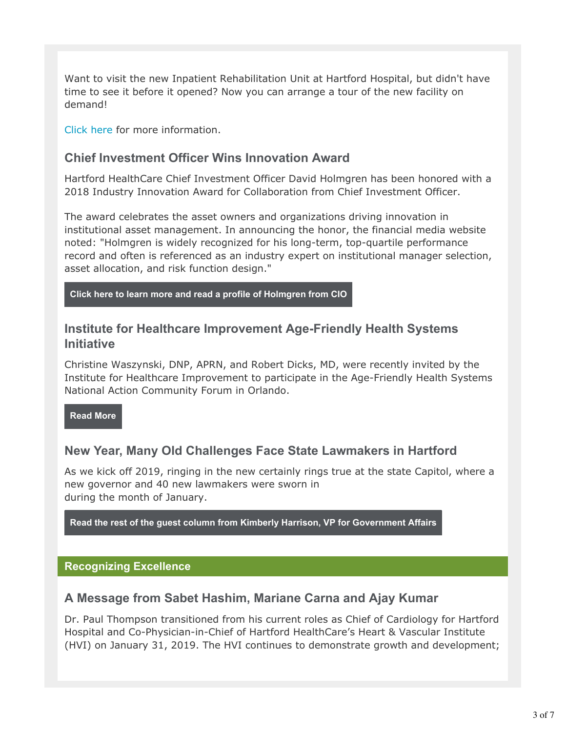Want to visit the new Inpatient Rehabilitation Unit at Hartford Hospital, but didn't have time to see it before it opened? Now you can arrange a tour of the new facility on demand!

Click here for more information.

#### **Chief Investment Officer Wins Innovation Award**

Hartford HealthCare Chief Investment Officer David Holmgren has been honored with a 2018 Industry Innovation Award for Collaboration from Chief Investment Officer.

The award celebrates the asset owners and organizations driving innovation in institutional asset management. In announcing the honor, the financial media website noted: "Holmgren is widely recognized for his long-term, top-quartile performance record and often is referenced as an industry expert on institutional manager selection, asset allocation, and risk function design."

**Click here to learn more and read a profile of Holmgren from CIO**

# **Institute for Healthcare Improvement Age-Friendly Health Systems Initiative**

Christine Waszynski, DNP, APRN, and Robert Dicks, MD, were recently invited by the Institute for Healthcare Improvement to participate in the Age-Friendly Health Systems National Action Community Forum in Orlando.

**Read More**

# **New Year, Many Old Challenges Face State Lawmakers in Hartford**

As we kick off 2019, ringing in the new certainly rings true at the state Capitol, where a new governor and 40 new lawmakers were sworn in during the month of January.

**Read the rest of the guest column from Kimberly Harrison, VP for Government Affairs**

#### **Recognizing Excellence**

#### **A Message from Sabet Hashim, Mariane Carna and Ajay Kumar**

Dr. Paul Thompson transitioned from his current roles as Chief of Cardiology for Hartford Hospital and Co-Physician-in-Chief of Hartford HealthCare's Heart & Vascular Institute (HVI) on January 31, 2019. The HVI continues to demonstrate growth and development;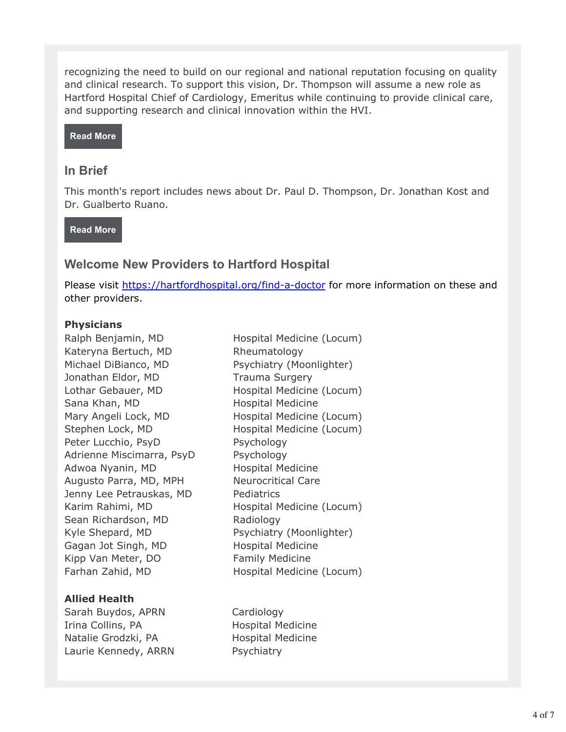recognizing the need to build on our regional and national reputation focusing on quality and clinical research. To support this vision, Dr. Thompson will assume a new role as Hartford Hospital Chief of Cardiology, Emeritus while continuing to provide clinical care, and supporting research and clinical innovation within the HVI.

**Read More**

#### **In Brief**

This month's report includes news about Dr. Paul D. Thompson, Dr. Jonathan Kost and Dr. Gualberto Ruano.

**Read More**

#### **Welcome New Providers to Hartford Hospital**

Please visit https://hartfordhospital.org/find-a-doctor for more information on these and other providers.

#### **Physicians**

Kateryna Bertuch, MD Rheumatology Michael DiBianco, MD Psychiatry (Moonlighter) Jonathan Eldor, MD Trauma Surgery Sana Khan, MD Hospital Medicine Peter Lucchio, PsyD Psychology Adrienne Miscimarra, PsyD Psychology Adwoa Nyanin, MD Hospital Medicine Augusto Parra, MD, MPH Neurocritical Care Jenny Lee Petrauskas, MD Pediatrics Sean Richardson, MD Radiology Kyle Shepard, MD Psychiatry (Moonlighter) Gagan Jot Singh, MD Hospital Medicine Kipp Van Meter, DO Family Medicine

#### **Allied Health**

Sarah Buydos, APRN Cardiology Irina Collins, PA **Hospital Medicine** Natalie Grodzki, PA Hospital Medicine Laurie Kennedy, ARRN Psychiatry

Ralph Benjamin, MD Hospital Medicine (Locum) Lothar Gebauer, MD Hospital Medicine (Locum) Mary Angeli Lock, MD Hospital Medicine (Locum) Stephen Lock, MD Hospital Medicine (Locum) Karim Rahimi, MD Hospital Medicine (Locum) Farhan Zahid, MD Hospital Medicine (Locum)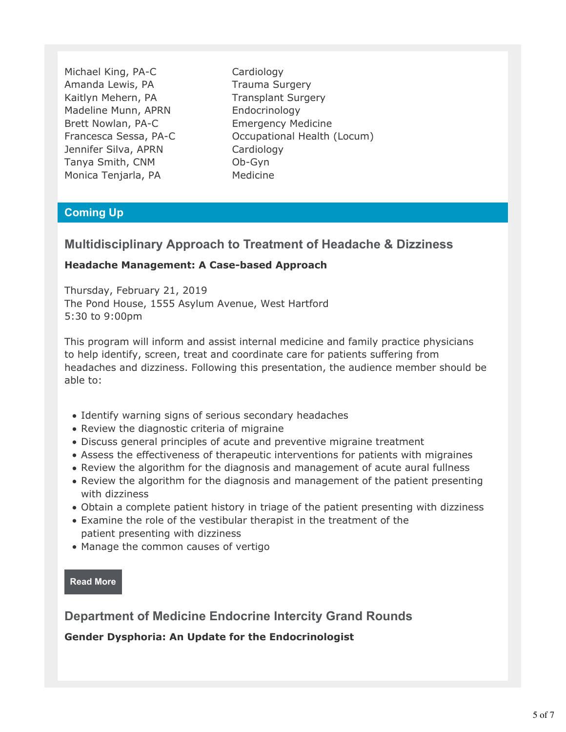Michael King, PA-C Cardiology Amanda Lewis, PA Trauma Surgery Kaitlyn Mehern, PA Transplant Surgery Madeline Munn, APRN Endocrinology Brett Nowlan, PA-C Emergency Medicine Jennifer Silva, APRN Cardiology Tanya Smith, CNM Ob-Gyn Monica Tenjarla, PA Medicine

Francesca Sessa, PA-C Occupational Health (Locum)

#### **Coming Up**

#### **Multidisciplinary Approach to Treatment of Headache & Dizziness**

#### **Headache Management: A Case-based Approach**

Thursday, February 21, 2019 The Pond House, 1555 Asylum Avenue, West Hartford 5:30 to 9:00pm

This program will inform and assist internal medicine and family practice physicians to help identify, screen, treat and coordinate care for patients suffering from headaches and dizziness. Following this presentation, the audience member should be able to:

- Identify warning signs of serious secondary headaches
- Review the diagnostic criteria of migraine
- Discuss general principles of acute and preventive migraine treatment
- Assess the effectiveness of therapeutic interventions for patients with migraines
- Review the algorithm for the diagnosis and management of acute aural fullness
- Review the algorithm for the diagnosis and management of the patient presenting with dizziness
- Obtain a complete patient history in triage of the patient presenting with dizziness
- Examine the role of the vestibular therapist in the treatment of the patient presenting with dizziness
- Manage the common causes of vertigo

**Read More**

**Department of Medicine Endocrine Intercity Grand Rounds**

**Gender Dysphoria: An Update for the Endocrinologist**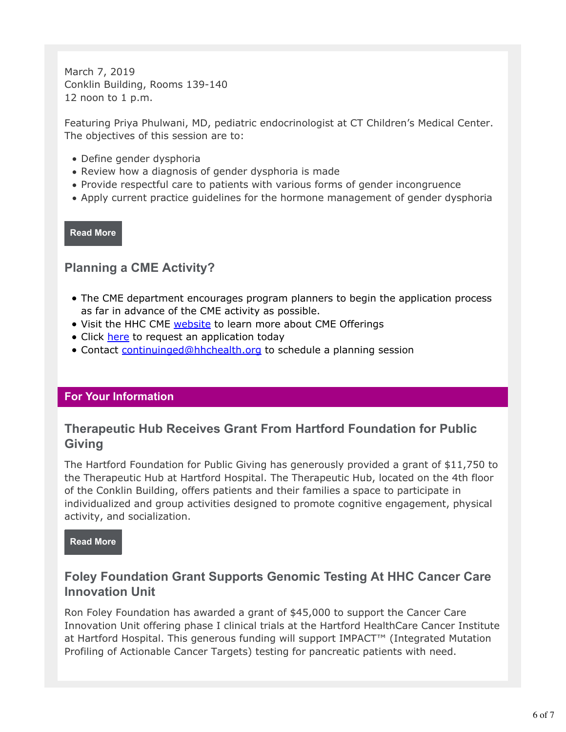March 7, 2019 Conklin Building, Rooms 139-140 12 noon to 1 p.m.

Featuring Priya Phulwani, MD, pediatric endocrinologist at CT Children's Medical Center. The objectives of this session are to:

- Define gender dysphoria
- Review how a diagnosis of gender dysphoria is made
- Provide respectful care to patients with various forms of gender incongruence
- Apply current practice guidelines for the hormone management of gender dysphoria

**Read More**

#### **Planning a CME Activity?**

- The CME department encourages program planners to begin the application process as far in advance of the CME activity as possible.
- Visit the HHC CME website to learn more about CME Offerings
- Click here to request an application today
- Contact continuinged@hhchealth.org to schedule a planning session

#### **For Your Information**

# **Therapeutic Hub Receives Grant From Hartford Foundation for Public Giving**

The Hartford Foundation for Public Giving has generously provided a grant of \$11,750 to the Therapeutic Hub at Hartford Hospital. The Therapeutic Hub, located on the 4th floor of the Conklin Building, offers patients and their families a space to participate in individualized and group activities designed to promote cognitive engagement, physical activity, and socialization.

**Read More**

# **Foley Foundation Grant Supports Genomic Testing At HHC Cancer Care Innovation Unit**

Ron Foley Foundation has awarded a grant of \$45,000 to support the Cancer Care Innovation Unit offering phase I clinical trials at the Hartford HealthCare Cancer Institute at Hartford Hospital. This generous funding will support IMPACT™ (Integrated Mutation Profiling of Actionable Cancer Targets) testing for pancreatic patients with need.